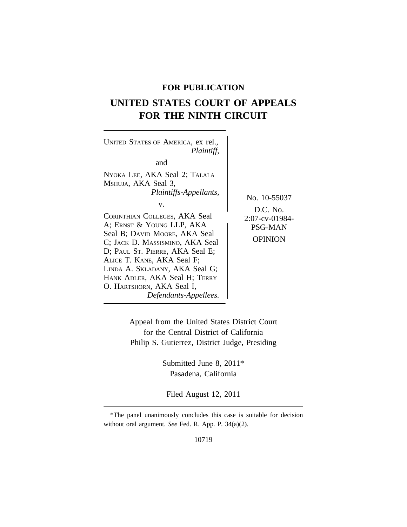# **FOR PUBLICATION**

# **UNITED STATES COURT OF APPEALS FOR THE NINTH CIRCUIT**

| UNITED STATES OF AMERICA, ex rel.,<br>Plaintiff,<br>and<br>NYOKA LEE, AKA Seal 2; TALALA<br>MSHUJA, AKA Seal 3,<br>Plaintiffs-Appellants,<br>V.<br>CORINTHIAN COLLEGES, AKA Seal<br>A; ERNST & YOUNG LLP, AKA<br>Seal B; DAVID MOORE, AKA Seal<br>C; JACK D. MASSISMINO, AKA Seal<br>D; PAUL ST. PIERRE, AKA Seal E;<br>ALICE T. KANE, AKA Seal F;<br>LINDA A. SKLADANY, AKA Seal G;<br>HANK ADLER, AKA Seal H; TERRY<br>O. HARTSHORN, AKA Seal I,<br>Defendants-Appellees. | No. 10-55037<br>$D.C.$ No.<br>2:07-cv-01984-<br>PSG-MAN<br><b>OPINION</b> |
|-----------------------------------------------------------------------------------------------------------------------------------------------------------------------------------------------------------------------------------------------------------------------------------------------------------------------------------------------------------------------------------------------------------------------------------------------------------------------------|---------------------------------------------------------------------------|
|-----------------------------------------------------------------------------------------------------------------------------------------------------------------------------------------------------------------------------------------------------------------------------------------------------------------------------------------------------------------------------------------------------------------------------------------------------------------------------|---------------------------------------------------------------------------|

Appeal from the United States District Court for the Central District of California Philip S. Gutierrez, District Judge, Presiding

> Submitted June 8, 2011\* Pasadena, California

Filed August 12, 2011

<sup>\*</sup>The panel unanimously concludes this case is suitable for decision without oral argument. *See* Fed. R. App. P. 34(a)(2).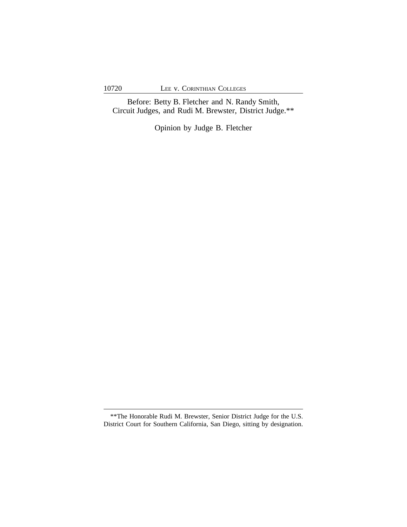Before: Betty B. Fletcher and N. Randy Smith, Circuit Judges, and Rudi M. Brewster, District Judge.\*\*

Opinion by Judge B. Fletcher

<sup>\*\*</sup>The Honorable Rudi M. Brewster, Senior District Judge for the U.S. District Court for Southern California, San Diego, sitting by designation.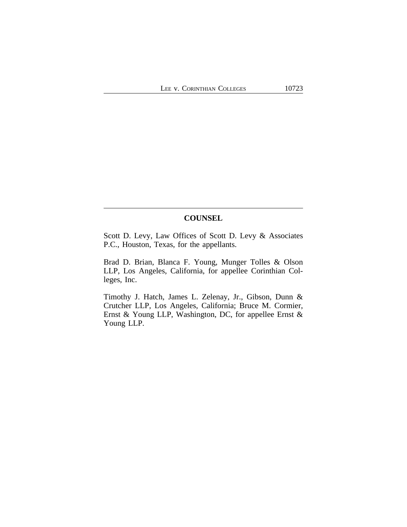## **COUNSEL**

Scott D. Levy, Law Offices of Scott D. Levy & Associates P.C., Houston, Texas, for the appellants.

Brad D. Brian, Blanca F. Young, Munger Tolles & Olson LLP, Los Angeles, California, for appellee Corinthian Colleges, Inc.

Timothy J. Hatch, James L. Zelenay, Jr., Gibson, Dunn & Crutcher LLP, Los Angeles, California; Bruce M. Cormier, Ernst & Young LLP, Washington, DC, for appellee Ernst & Young LLP.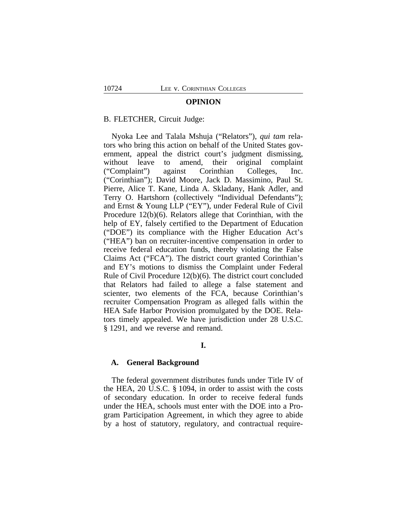#### **OPINION**

### B. FLETCHER, Circuit Judge:

Nyoka Lee and Talala Mshuja ("Relators"), *qui tam* relators who bring this action on behalf of the United States government, appeal the district court's judgment dismissing, without leave to amend, their original complaint ("Complaint") against Corinthian Colleges, Inc. ("Corinthian"); David Moore, Jack D. Massimino, Paul St. Pierre, Alice T. Kane, Linda A. Skladany, Hank Adler, and Terry O. Hartshorn (collectively "Individual Defendants"); and Ernst & Young LLP ("EY"), under Federal Rule of Civil Procedure 12(b)(6). Relators allege that Corinthian, with the help of EY, falsely certified to the Department of Education ("DOE") its compliance with the Higher Education Act's ("HEA") ban on recruiter-incentive compensation in order to receive federal education funds, thereby violating the False Claims Act ("FCA"). The district court granted Corinthian's and EY's motions to dismiss the Complaint under Federal Rule of Civil Procedure 12(b)(6). The district court concluded that Relators had failed to allege a false statement and scienter, two elements of the FCA, because Corinthian's recruiter Compensation Program as alleged falls within the HEA Safe Harbor Provision promulgated by the DOE. Relators timely appealed. We have jurisdiction under 28 U.S.C. § 1291, and we reverse and remand.

## **I.**

## **A. General Background**

The federal government distributes funds under Title IV of the HEA, 20 U.S.C. § 1094, in order to assist with the costs of secondary education. In order to receive federal funds under the HEA, schools must enter with the DOE into a Program Participation Agreement, in which they agree to abide by a host of statutory, regulatory, and contractual require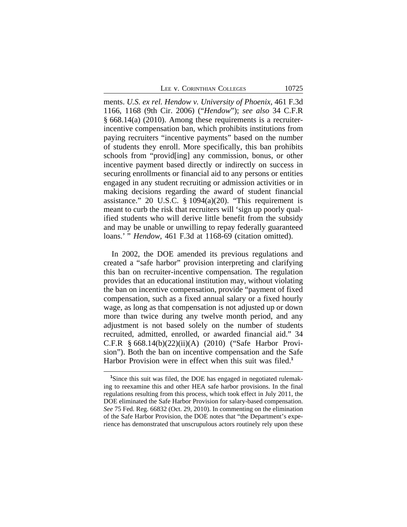LEE V. CORINTHIAN COLLEGES 10725

ments. *U.S. ex rel. Hendow v. University of Phoenix*, 461 F.3d 1166, 1168 (9th Cir. 2006) ("*Hendow*"); *see also* 34 C.F.R § 668.14(a) (2010). Among these requirements is a recruiterincentive compensation ban, which prohibits institutions from paying recruiters "incentive payments" based on the number of students they enroll. More specifically, this ban prohibits schools from "provid[ing] any commission, bonus, or other incentive payment based directly or indirectly on success in securing enrollments or financial aid to any persons or entities engaged in any student recruiting or admission activities or in making decisions regarding the award of student financial assistance." 20 U.S.C.  $\S$  1094(a)(20). "This requirement is meant to curb the risk that recruiters will 'sign up poorly qualified students who will derive little benefit from the subsidy and may be unable or unwilling to repay federally guaranteed loans.' " *Hendow*, 461 F.3d at 1168-69 (citation omitted).

In 2002, the DOE amended its previous regulations and created a "safe harbor" provision interpreting and clarifying this ban on recruiter-incentive compensation. The regulation provides that an educational institution may, without violating the ban on incentive compensation, provide "payment of fixed compensation, such as a fixed annual salary or a fixed hourly wage, as long as that compensation is not adjusted up or down more than twice during any twelve month period, and any adjustment is not based solely on the number of students recruited, admitted, enrolled, or awarded financial aid." 34 C.F.R § 668.14(b)(22)(ii)(A) (2010) ("Safe Harbor Provision"). Both the ban on incentive compensation and the Safe Harbor Provision were in effect when this suit was filed.**<sup>1</sup>**

**<sup>1</sup>**Since this suit was filed, the DOE has engaged in negotiated rulemaking to reexamine this and other HEA safe harbor provisions. In the final regulations resulting from this process, which took effect in July 2011, the DOE eliminated the Safe Harbor Provision for salary-based compensation. *See* 75 Fed. Reg. 66832 (Oct. 29, 2010). In commenting on the elimination of the Safe Harbor Provision, the DOE notes that "the Department's experience has demonstrated that unscrupulous actors routinely rely upon these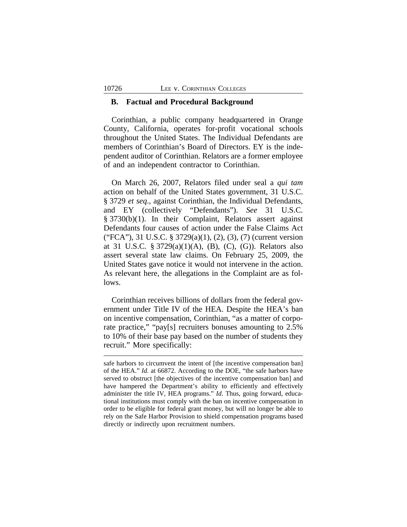## **B. Factual and Procedural Background**

Corinthian, a public company headquartered in Orange County, California, operates for-profit vocational schools throughout the United States. The Individual Defendants are members of Corinthian's Board of Directors. EY is the independent auditor of Corinthian. Relators are a former employee of and an independent contractor to Corinthian.

On March 26, 2007, Relators filed under seal a *qui tam* action on behalf of the United States government, 31 U.S.C. § 3729 *et seq*., against Corinthian, the Individual Defendants, and EY (collectively "Defendants"). *See* 31 U.S.C. § 3730(b)(1). In their Complaint, Relators assert against Defendants four causes of action under the False Claims Act ("FCA"), 31 U.S.C. § 3729(a)(1), (2), (3), (7) (current version at 31 U.S.C. § 3729(a)(1)(A), (B), (C), (G)). Relators also assert several state law claims. On February 25, 2009, the United States gave notice it would not intervene in the action. As relevant here, the allegations in the Complaint are as follows.

Corinthian receives billions of dollars from the federal government under Title IV of the HEA. Despite the HEA's ban on incentive compensation, Corinthian, "as a matter of corporate practice," "pay[s] recruiters bonuses amounting to 2.5% to 10% of their base pay based on the number of students they recruit." More specifically:

safe harbors to circumvent the intent of [the incentive compensation ban] of the HEA." *Id.* at 66872. According to the DOE, "the safe harbors have served to obstruct [the objectives of the incentive compensation ban] and have hampered the Department's ability to efficiently and effectively administer the title IV, HEA programs." *Id*. Thus, going forward, educational institutions must comply with the ban on incentive compensation in order to be eligible for federal grant money, but will no longer be able to rely on the Safe Harbor Provision to shield compensation programs based directly or indirectly upon recruitment numbers.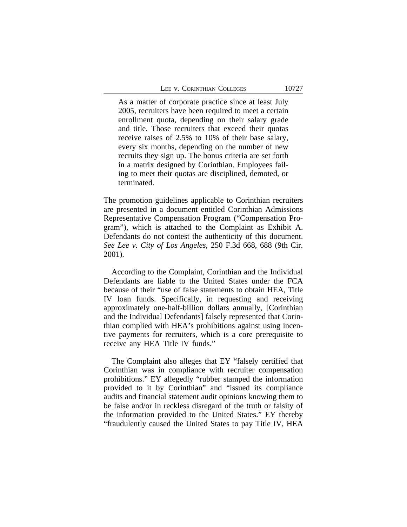As a matter of corporate practice since at least July 2005, recruiters have been required to meet a certain enrollment quota, depending on their salary grade and title. Those recruiters that exceed their quotas receive raises of 2.5% to 10% of their base salary, every six months, depending on the number of new recruits they sign up. The bonus criteria are set forth in a matrix designed by Corinthian. Employees failing to meet their quotas are disciplined, demoted, or terminated.

The promotion guidelines applicable to Corinthian recruiters are presented in a document entitled Corinthian Admissions Representative Compensation Program ("Compensation Program"), which is attached to the Complaint as Exhibit A. Defendants do not contest the authenticity of this document. *See Lee v. City of Los Angeles*, 250 F.3d 668, 688 (9th Cir. 2001).

According to the Complaint, Corinthian and the Individual Defendants are liable to the United States under the FCA because of their "use of false statements to obtain HEA, Title IV loan funds. Specifically, in requesting and receiving approximately one-half-billion dollars annually, [Corinthian and the Individual Defendants] falsely represented that Corinthian complied with HEA's prohibitions against using incentive payments for recruiters, which is a core prerequisite to receive any HEA Title IV funds."

The Complaint also alleges that EY "falsely certified that Corinthian was in compliance with recruiter compensation prohibitions." EY allegedly "rubber stamped the information provided to it by Corinthian" and "issued its compliance audits and financial statement audit opinions knowing them to be false and/or in reckless disregard of the truth or falsity of the information provided to the United States." EY thereby "fraudulently caused the United States to pay Title IV, HEA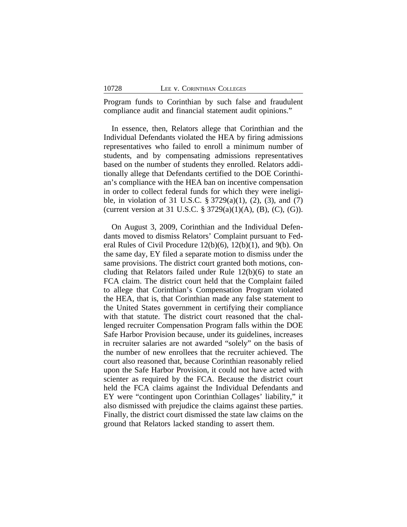Program funds to Corinthian by such false and fraudulent compliance audit and financial statement audit opinions."

In essence, then, Relators allege that Corinthian and the Individual Defendants violated the HEA by firing admissions representatives who failed to enroll a minimum number of students, and by compensating admissions representatives based on the number of students they enrolled. Relators additionally allege that Defendants certified to the DOE Corinthian's compliance with the HEA ban on incentive compensation in order to collect federal funds for which they were ineligible, in violation of 31 U.S.C. § 3729(a)(1), (2), (3), and (7) (current version at 31 U.S.C.  $\S 3729(a)(1)(A)$ , (B), (C), (G)).

On August 3, 2009, Corinthian and the Individual Defendants moved to dismiss Relators' Complaint pursuant to Federal Rules of Civil Procedure 12(b)(6), 12(b)(1), and 9(b). On the same day, EY filed a separate motion to dismiss under the same provisions. The district court granted both motions, concluding that Relators failed under Rule 12(b)(6) to state an FCA claim. The district court held that the Complaint failed to allege that Corinthian's Compensation Program violated the HEA, that is, that Corinthian made any false statement to the United States government in certifying their compliance with that statute. The district court reasoned that the challenged recruiter Compensation Program falls within the DOE Safe Harbor Provision because, under its guidelines, increases in recruiter salaries are not awarded "solely" on the basis of the number of new enrollees that the recruiter achieved. The court also reasoned that, because Corinthian reasonably relied upon the Safe Harbor Provision, it could not have acted with scienter as required by the FCA. Because the district court held the FCA claims against the Individual Defendants and EY were "contingent upon Corinthian Collages' liability," it also dismissed with prejudice the claims against these parties. Finally, the district court dismissed the state law claims on the ground that Relators lacked standing to assert them.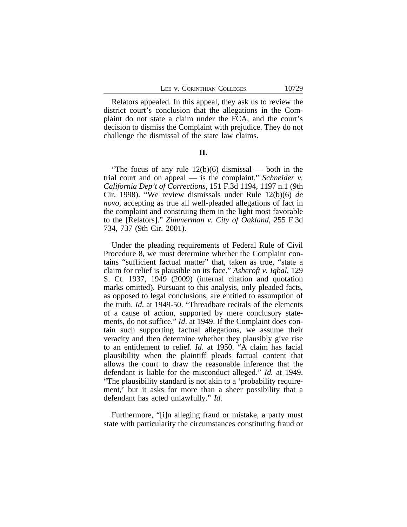Relators appealed. In this appeal, they ask us to review the district court's conclusion that the allegations in the Complaint do not state a claim under the FCA, and the court's decision to dismiss the Complaint with prejudice. They do not challenge the dismissal of the state law claims.

### **II.**

"The focus of any rule  $12(b)(6)$  dismissal — both in the trial court and on appeal — is the complaint." *Schneider v. California Dep't of Corrections*, 151 F.3d 1194, 1197 n.1 (9th Cir. 1998). "We review dismissals under Rule 12(b)(6) *de novo*, accepting as true all well-pleaded allegations of fact in the complaint and construing them in the light most favorable to the [Relators]." *Zimmerman v. City of Oakland*, 255 F.3d 734, 737 (9th Cir. 2001).

Under the pleading requirements of Federal Rule of Civil Procedure 8, we must determine whether the Complaint contains "sufficient factual matter" that, taken as true, "state a claim for relief is plausible on its face." *Ashcroft v. Iqbal*, 129 S. Ct. 1937, 1949 (2009) (internal citation and quotation marks omitted). Pursuant to this analysis, only pleaded facts, as opposed to legal conclusions, are entitled to assumption of the truth. *Id*. at 1949-50. "Threadbare recitals of the elements of a cause of action, supported by mere conclusory statements, do not suffice." *Id*. at 1949. If the Complaint does contain such supporting factual allegations, we assume their veracity and then determine whether they plausibly give rise to an entitlement to relief. *Id*. at 1950. "A claim has facial plausibility when the plaintiff pleads factual content that allows the court to draw the reasonable inference that the defendant is liable for the misconduct alleged." *Id.* at 1949. "The plausibility standard is not akin to a 'probability requirement,' but it asks for more than a sheer possibility that a defendant has acted unlawfully." *Id.* 

Furthermore, "[i]n alleging fraud or mistake, a party must state with particularity the circumstances constituting fraud or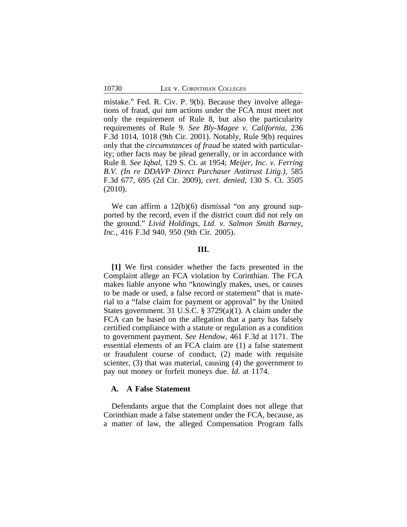mistake." Fed. R. Civ. P. 9(b). Because they involve allegations of fraud, *qui tam* actions under the FCA must meet not only the requirement of Rule 8, but also the particularity requirements of Rule 9. *See Bly-Magee v. California*, 236 F.3d 1014, 1018 (9th Cir. 2001). Notably, Rule 9(b) requires only that the *circumstances of fraud* be stated with particularity; other facts may be plead generally, or in accordance with Rule 8*. See Iqbal*, 129 S. Ct. at 1954; *Meijer, Inc. v. Ferring B.V. (In re DDAVP Direct Purchaser Antitrust Litig.)*, 585 F.3d 677, 695 (2d Cir. 2009), *cert. denied*, 130 S. Ct. 3505 (2010).

We can affirm a  $12(b)(6)$  dismissal "on any ground supported by the record, even if the district court did not rely on the ground." *Livid Holdings, Ltd. v. Salmon Smith Barney, Inc.*, 416 F.3d 940, 950 (9th Cir. 2005).

### **III.**

**[1]** We first consider whether the facts presented in the Complaint allege an FCA violation by Corinthian. The FCA makes liable anyone who "knowingly makes, uses, or causes to be made or used, a false record or statement" that is material to a "false claim for payment or approval" by the United States government. 31 U.S.C. § 3729(a)(1). A claim under the FCA can be based on the allegation that a party has falsely certified compliance with a statute or regulation as a condition to government payment. *See Hendow*, 461 F.3d at 1171. The essential elements of an FCA claim are (1) a false statement or fraudulent course of conduct, (2) made with requisite scienter, (3) that was material, causing (4) the government to pay out money or forfeit moneys due. *Id*. at 1174.

## **A. A False Statement**

Defendants argue that the Complaint does not allege that Corinthian made a false statement under the FCA, because, as a matter of law, the alleged Compensation Program falls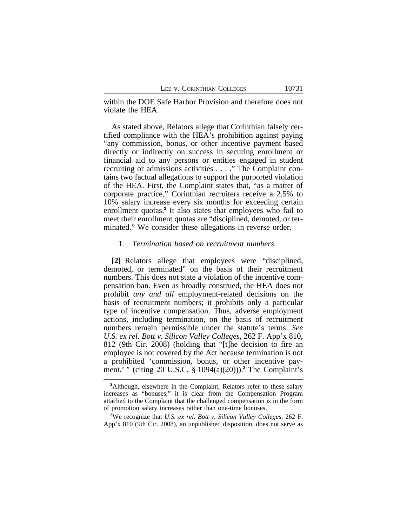within the DOE Safe Harbor Provision and therefore does not violate the HEA.

As stated above, Relators allege that Corinthian falsely certified compliance with the HEA's prohibition against paying "any commission, bonus, or other incentive payment based directly or indirectly on success in securing enrollment or financial aid to any persons or entities engaged in student recruiting or admissions activities . . . ." The Complaint contains two factual allegations to support the purported violation of the HEA. First, the Complaint states that, "as a matter of corporate practice," Corinthian recruiters receive a 2.5% to 10% salary increase every six months for exceeding certain enrollment quotas.**<sup>2</sup>** It also states that employees who fail to meet their enrollment quotas are "disciplined, demoted, or terminated." We consider these allegations in reverse order.

#### 1. *Termination based on recruitment numbers*

**[2]** Relators allege that employees were "disciplined, demoted, or terminated" on the basis of their recruitment numbers. This does not state a violation of the incentive compensation ban. Even as broadly construed, the HEA does not prohibit *any and all* employment-related decisions on the basis of recruitment numbers; it prohibits only a particular type of incentive compensation. Thus, adverse employment actions, including termination, on the basis of recruitment numbers remain permissible under the statute's terms. *See U.S. ex rel. Bott v. Silicon Valley Colleges*, 262 F. App'x 810, 812 (9th Cir. 2008) (holding that "[t]he decision to fire an employee is not covered by the Act because termination is not a prohibited 'commission, bonus, or other incentive payment.' " (citing 20 U.S.C. § 1094(a)(20))).**<sup>3</sup>** The Complaint's

<sup>&</sup>lt;sup>2</sup>Although, elsewhere in the Complaint, Relators refer to these salary increases as "bonuses," it is clear from the Compensation Program attached to the Complaint that the challenged compensation is in the form of promotion salary increases rather than one-time bonuses.

**<sup>3</sup>**We recognize that *U.S. ex rel. Bott v. Silicon Valley Colleges*, 262 F. App'x 810 (9th Cir. 2008), an unpublished disposition, does not serve as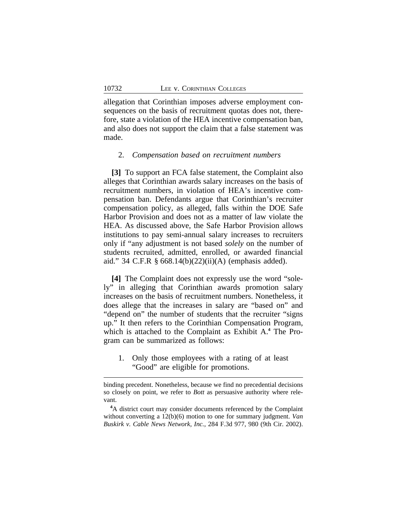allegation that Corinthian imposes adverse employment consequences on the basis of recruitment quotas does not, therefore, state a violation of the HEA incentive compensation ban, and also does not support the claim that a false statement was made.

## 2. *Compensation based on recruitment numbers*

**[3]** To support an FCA false statement, the Complaint also alleges that Corinthian awards salary increases on the basis of recruitment numbers, in violation of HEA's incentive compensation ban. Defendants argue that Corinthian's recruiter compensation policy, as alleged, falls within the DOE Safe Harbor Provision and does not as a matter of law violate the HEA. As discussed above, the Safe Harbor Provision allows institutions to pay semi-annual salary increases to recruiters only if "any adjustment is not based *solely* on the number of students recruited, admitted, enrolled, or awarded financial aid." 34 C.F.R § 668.14(b)(22)(ii)(A) (emphasis added).

**[4]** The Complaint does not expressly use the word "solely" in alleging that Corinthian awards promotion salary increases on the basis of recruitment numbers. Nonetheless, it does allege that the increases in salary are "based on" and "depend on" the number of students that the recruiter "signs up." It then refers to the Corinthian Compensation Program, which is attached to the Complaint as Exhibit A.**<sup>4</sup>** The Program can be summarized as follows:

1. Only those employees with a rating of at least "Good" are eligible for promotions.

binding precedent. Nonetheless, because we find no precedential decisions so closely on point, we refer to *Bott* as persuasive authority where relevant.

**<sup>4</sup>**A district court may consider documents referenced by the Complaint without converting a 12(b)(6) motion to one for summary judgment. *Van Buskirk v. Cable News Network, Inc.*, 284 F.3d 977, 980 (9th Cir. 2002).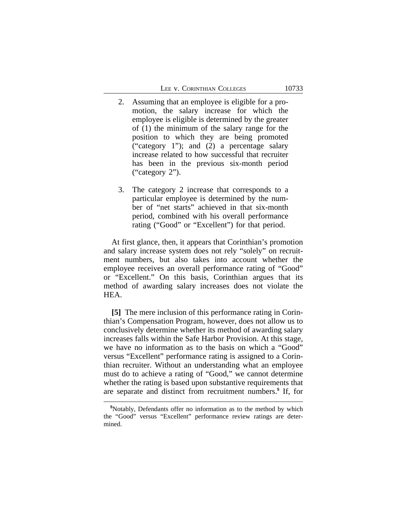- 2. Assuming that an employee is eligible for a promotion, the salary increase for which the employee is eligible is determined by the greater of (1) the minimum of the salary range for the position to which they are being promoted ("category 1"); and (2) a percentage salary increase related to how successful that recruiter has been in the previous six-month period ("category 2").
- 3. The category 2 increase that corresponds to a particular employee is determined by the number of "net starts" achieved in that six-month period, combined with his overall performance rating ("Good" or "Excellent") for that period.

At first glance, then, it appears that Corinthian's promotion and salary increase system does not rely "solely" on recruitment numbers, but also takes into account whether the employee receives an overall performance rating of "Good" or "Excellent." On this basis, Corinthian argues that its method of awarding salary increases does not violate the HEA.

**[5]** The mere inclusion of this performance rating in Corinthian's Compensation Program, however, does not allow us to conclusively determine whether its method of awarding salary increases falls within the Safe Harbor Provision. At this stage, we have no information as to the basis on which a "Good" versus "Excellent" performance rating is assigned to a Corinthian recruiter. Without an understanding what an employee must do to achieve a rating of "Good," we cannot determine whether the rating is based upon substantive requirements that are separate and distinct from recruitment numbers.**<sup>5</sup>** If, for

**<sup>5</sup>**Notably, Defendants offer no information as to the method by which the "Good" versus "Excellent" performance review ratings are determined.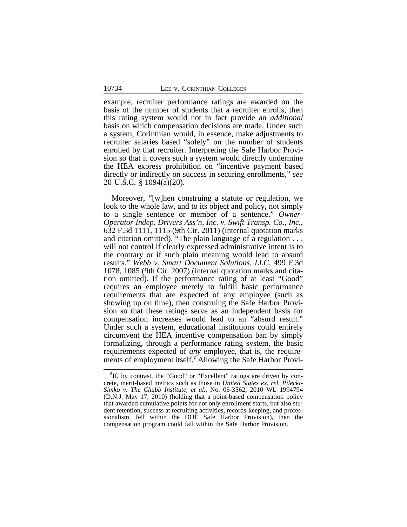example, recruiter performance ratings are awarded on the basis of the number of students that a recruiter enrolls, then this rating system would not in fact provide an *additional* basis on which compensation decisions are made. Under such a system, Corinthian would, in essence, make adjustments to recruiter salaries based "solely" on the number of students enrolled by that recruiter. Interpreting the Safe Harbor Provision so that it covers such a system would directly undermine the HEA express prohibition on "incentive payment based directly or indirectly on success in securing enrollments," *see* 20 U.S.C. § 1094(a)(20).

Moreover, "[w]hen construing a statute or regulation, we look to the whole law, and to its object and policy, not simply to a single sentence or member of a sentence." *Owner-Operator Indep. Drivers Ass'n, Inc. v. Swift Transp. Co., Inc.*, 632 F.3d 1111, 1115 (9th Cir. 2011) (internal quotation marks and citation omitted). "The plain language of a regulation . . . will not control if clearly expressed administrative intent is to the contrary or if such plain meaning would lead to absurd results." *Webb v. Smart Document Solutions, LLC*, 499 F.3d 1078, 1085 (9th Cir. 2007) (internal quotation marks and citation omitted). If the performance rating of at least "Good" requires an employee merely to fulfill basic performance requirements that are expected of any employee (such as showing up on time), then construing the Safe Harbor Provision so that these ratings serve as an independent basis for compensation increases would lead to an "absurd result." Under such a system, educational institutions could entirely circumvent the HEA incentive compensation ban by simply formalizing, through a performance rating system, the basic requirements expected of *any* employee, that is, the requirements of employment itself.**<sup>6</sup>** Allowing the Safe Harbor Provi-

<sup>&</sup>lt;sup>6</sup>If, by contrast, the "Good" or "Excellent" ratings are driven by concrete, merit-based metrics such as those in *United States ex. rel. Pilecki-Simko v. The Chubb Institute, et al.*, No. 06-3562, 2010 WL 1994794 (D.N.J. May 17, 2010) (holding that a point-based compensation policy that awarded cumulative points for not only enrollment starts, but also student retention, success at recruiting activities, records-keeping, and professionalism, fell within the DOE Safe Harbor Provision), then the compensation program could fall within the Safe Harbor Provision.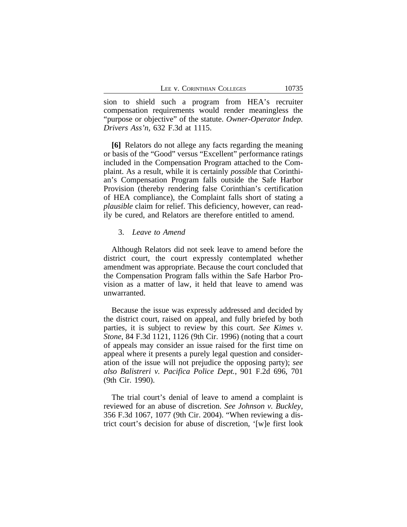sion to shield such a program from HEA's recruiter compensation requirements would render meaningless the "purpose or objective" of the statute. *Owner-Operator Indep. Drivers Ass'n*, 632 F.3d at 1115.

**[6]** Relators do not allege any facts regarding the meaning or basis of the "Good" versus "Excellent" performance ratings included in the Compensation Program attached to the Complaint. As a result, while it is certainly *possible* that Corinthian's Compensation Program falls outside the Safe Harbor Provision (thereby rendering false Corinthian's certification of HEA compliance), the Complaint falls short of stating a *plausible* claim for relief. This deficiency, however, can readily be cured, and Relators are therefore entitled to amend.

#### 3. *Leave to Amend*

Although Relators did not seek leave to amend before the district court, the court expressly contemplated whether amendment was appropriate. Because the court concluded that the Compensation Program falls within the Safe Harbor Provision as a matter of law, it held that leave to amend was unwarranted.

Because the issue was expressly addressed and decided by the district court, raised on appeal, and fully briefed by both parties, it is subject to review by this court. *See Kimes v. Stone*, 84 F.3d 1121, 1126 (9th Cir. 1996) (noting that a court of appeals may consider an issue raised for the first time on appeal where it presents a purely legal question and consideration of the issue will not prejudice the opposing party); *see also Balistreri v. Pacifica Police Dept.*, 901 F.2d 696, 701 (9th Cir. 1990).

The trial court's denial of leave to amend a complaint is reviewed for an abuse of discretion. *See Johnson v. Buckley*, 356 F.3d 1067, 1077 (9th Cir. 2004). "When reviewing a district court's decision for abuse of discretion, '[w]e first look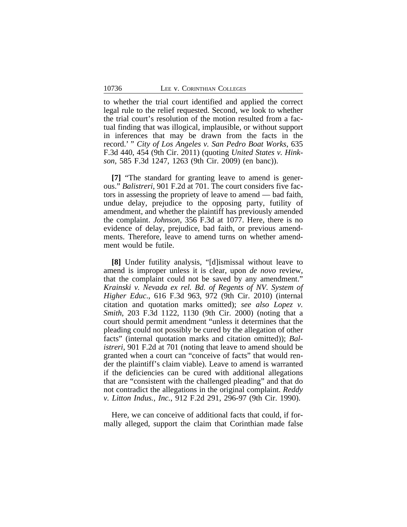to whether the trial court identified and applied the correct legal rule to the relief requested. Second, we look to whether the trial court's resolution of the motion resulted from a factual finding that was illogical, implausible, or without support in inferences that may be drawn from the facts in the record.' " *City of Los Angeles v. San Pedro Boat Works*, 635 F.3d 440, 454 (9th Cir. 2011) (quoting *United States v. Hinkson*, 585 F.3d 1247, 1263 (9th Cir. 2009) (en banc)).

**[7]** "The standard for granting leave to amend is generous." *Balistreri*, 901 F.2d at 701. The court considers five factors in assessing the propriety of leave to amend — bad faith, undue delay, prejudice to the opposing party, futility of amendment, and whether the plaintiff has previously amended the complaint. *Johnson*, 356 F.3d at 1077. Here, there is no evidence of delay, prejudice, bad faith, or previous amendments. Therefore, leave to amend turns on whether amendment would be futile.

**[8]** Under futility analysis, "[d]ismissal without leave to amend is improper unless it is clear, upon *de novo* review, that the complaint could not be saved by any amendment." *Krainski v. Nevada ex rel. Bd. of Regents of NV. System of Higher Educ*., 616 F.3d 963, 972 (9th Cir. 2010) (internal citation and quotation marks omitted); *see also Lopez v. Smith*, 203 F.3d 1122, 1130 (9th Cir. 2000) (noting that a court should permit amendment "unless it determines that the pleading could not possibly be cured by the allegation of other facts" (internal quotation marks and citation omitted)); *Balistreri*, 901 F.2d at 701 (noting that leave to amend should be granted when a court can "conceive of facts" that would render the plaintiff's claim viable). Leave to amend is warranted if the deficiencies can be cured with additional allegations that are "consistent with the challenged pleading" and that do not contradict the allegations in the original complaint. *Reddy v. Litton Indus., Inc.*, 912 F.2d 291, 296-97 (9th Cir. 1990).

Here, we can conceive of additional facts that could, if formally alleged, support the claim that Corinthian made false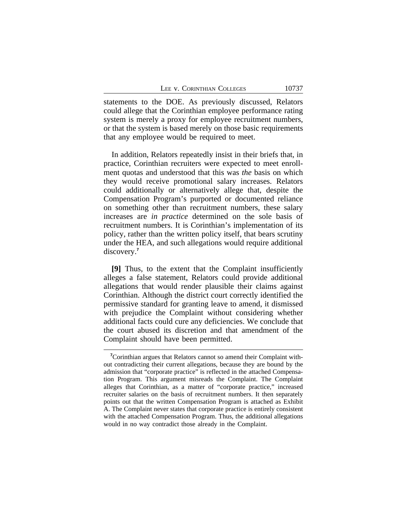statements to the DOE. As previously discussed, Relators could allege that the Corinthian employee performance rating system is merely a proxy for employee recruitment numbers, or that the system is based merely on those basic requirements that any employee would be required to meet.

In addition, Relators repeatedly insist in their briefs that, in practice, Corinthian recruiters were expected to meet enrollment quotas and understood that this was *the* basis on which they would receive promotional salary increases. Relators could additionally or alternatively allege that, despite the Compensation Program's purported or documented reliance on something other than recruitment numbers, these salary increases are *in practice* determined on the sole basis of recruitment numbers. It is Corinthian's implementation of its policy, rather than the written policy itself, that bears scrutiny under the HEA, and such allegations would require additional discovery.**<sup>7</sup>**

**[9]** Thus, to the extent that the Complaint insufficiently alleges a false statement, Relators could provide additional allegations that would render plausible their claims against Corinthian. Although the district court correctly identified the permissive standard for granting leave to amend, it dismissed with prejudice the Complaint without considering whether additional facts could cure any deficiencies. We conclude that the court abused its discretion and that amendment of the Complaint should have been permitted.

**<sup>7</sup>**Corinthian argues that Relators cannot so amend their Complaint without contradicting their current allegations, because they are bound by the admission that "corporate practice" is reflected in the attached Compensation Program. This argument misreads the Complaint. The Complaint alleges that Corinthian, as a matter of "corporate practice," increased recruiter salaries on the basis of recruitment numbers. It then separately points out that the written Compensation Program is attached as Exhibit A. The Complaint never states that corporate practice is entirely consistent with the attached Compensation Program. Thus, the additional allegations would in no way contradict those already in the Complaint.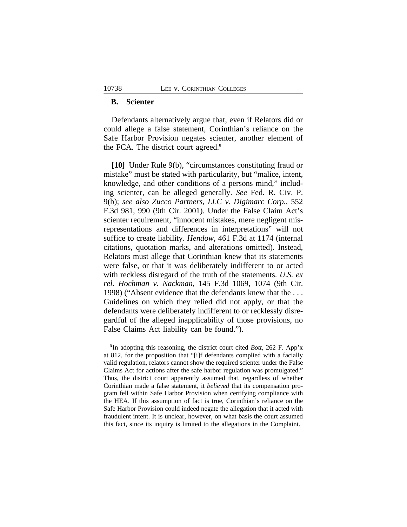## **B. Scienter**

Defendants alternatively argue that, even if Relators did or could allege a false statement, Corinthian's reliance on the Safe Harbor Provision negates scienter, another element of the FCA. The district court agreed.**<sup>8</sup>**

**[10]** Under Rule 9(b), "circumstances constituting fraud or mistake" must be stated with particularity, but "malice, intent, knowledge, and other conditions of a persons mind," including scienter, can be alleged generally. *See* Fed. R. Civ. P. 9(b); *see also Zucco Partners, LLC v. Digimarc Corp.*, 552 F.3d 981, 990 (9th Cir. 2001). Under the False Claim Act's scienter requirement, "innocent mistakes, mere negligent misrepresentations and differences in interpretations" will not suffice to create liability. *Hendow*, 461 F.3d at 1174 (internal citations, quotation marks, and alterations omitted). Instead, Relators must allege that Corinthian knew that its statements were false, or that it was deliberately indifferent to or acted with reckless disregard of the truth of the statements. *U.S. ex rel. Hochman v. Nackman*, 145 F.3d 1069, 1074 (9th Cir. 1998) ("Absent evidence that the defendants knew that the . . . Guidelines on which they relied did not apply, or that the defendants were deliberately indifferent to or recklessly disregardful of the alleged inapplicability of those provisions, no False Claims Act liability can be found.").

**<sup>8</sup>** In adopting this reasoning, the district court cited *Bott*, 262 F. App'x at 812, for the proposition that "[i]f defendants complied with a facially valid regulation, relators cannot show the required scienter under the False Claims Act for actions after the safe harbor regulation was promulgated." Thus, the district court apparently assumed that, regardless of whether Corinthian made a false statement, it *believed* that its compensation program fell within Safe Harbor Provision when certifying compliance with the HEA. If this assumption of fact is true, Corinthian's reliance on the Safe Harbor Provision could indeed negate the allegation that it acted with fraudulent intent. It is unclear, however, on what basis the court assumed this fact, since its inquiry is limited to the allegations in the Complaint.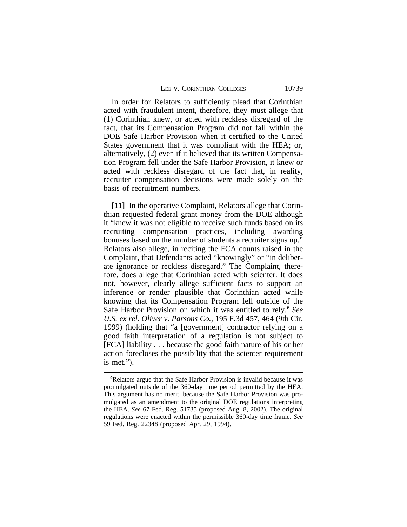LEE V. CORINTHIAN COLLEGES 10739

In order for Relators to sufficiently plead that Corinthian acted with fraudulent intent, therefore, they must allege that (1) Corinthian knew, or acted with reckless disregard of the fact, that its Compensation Program did not fall within the DOE Safe Harbor Provision when it certified to the United States government that it was compliant with the HEA; or, alternatively, (2) even if it believed that its written Compensation Program fell under the Safe Harbor Provision, it knew or acted with reckless disregard of the fact that, in reality, recruiter compensation decisions were made solely on the basis of recruitment numbers.

**[11]** In the operative Complaint, Relators allege that Corinthian requested federal grant money from the DOE although it "knew it was not eligible to receive such funds based on its recruiting compensation practices, including awarding bonuses based on the number of students a recruiter signs up." Relators also allege, in reciting the FCA counts raised in the Complaint, that Defendants acted "knowingly" or "in deliberate ignorance or reckless disregard." The Complaint, therefore, does allege that Corinthian acted with scienter. It does not, however, clearly allege sufficient facts to support an inference or render plausible that Corinthian acted while knowing that its Compensation Program fell outside of the Safe Harbor Provision on which it was entitled to rely.**<sup>9</sup>** *See U.S. ex rel. Oliver v. Parsons Co.*, 195 F.3d 457, 464 (9th Cir. 1999) (holding that "a [government] contractor relying on a good faith interpretation of a regulation is not subject to [FCA] liability . . . because the good faith nature of his or her action forecloses the possibility that the scienter requirement is met.").

**<sup>9</sup>**Relators argue that the Safe Harbor Provision is invalid because it was promulgated outside of the 360-day time period permitted by the HEA. This argument has no merit, because the Safe Harbor Provision was promulgated as an amendment to the original DOE regulations interpreting the HEA. *See* 67 Fed. Reg. 51735 (proposed Aug. 8, 2002). The original regulations were enacted within the permissible 360-day time frame. *See* 59 Fed. Reg. 22348 (proposed Apr. 29, 1994).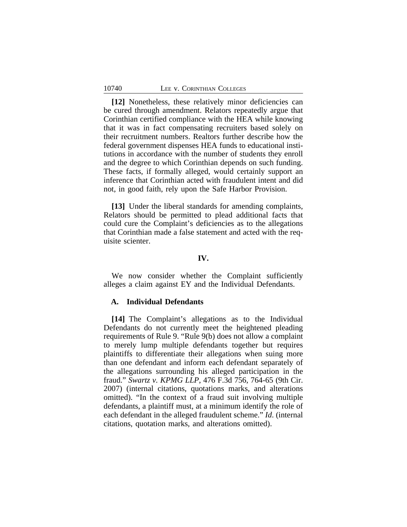**[12]** Nonetheless, these relatively minor deficiencies can be cured through amendment. Relators repeatedly argue that Corinthian certified compliance with the HEA while knowing that it was in fact compensating recruiters based solely on their recruitment numbers. Realtors further describe how the federal government dispenses HEA funds to educational institutions in accordance with the number of students they enroll and the degree to which Corinthian depends on such funding. These facts, if formally alleged, would certainly support an inference that Corinthian acted with fraudulent intent and did not, in good faith, rely upon the Safe Harbor Provision.

**[13]** Under the liberal standards for amending complaints, Relators should be permitted to plead additional facts that could cure the Complaint's deficiencies as to the allegations that Corinthian made a false statement and acted with the requisite scienter.

### **IV.**

We now consider whether the Complaint sufficiently alleges a claim against EY and the Individual Defendants.

## **A. Individual Defendants**

**[14]** The Complaint's allegations as to the Individual Defendants do not currently meet the heightened pleading requirements of Rule 9. "Rule 9(b) does not allow a complaint to merely lump multiple defendants together but requires plaintiffs to differentiate their allegations when suing more than one defendant and inform each defendant separately of the allegations surrounding his alleged participation in the fraud." *Swartz v. KPMG LLP*, 476 F.3d 756, 764-65 (9th Cir. 2007) (internal citations, quotations marks, and alterations omitted). "In the context of a fraud suit involving multiple defendants, a plaintiff must, at a minimum identify the role of each defendant in the alleged fraudulent scheme." *Id*. (internal citations, quotation marks, and alterations omitted).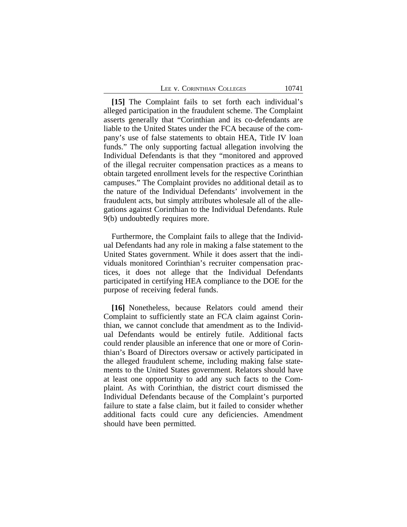| LEE V. CORINTHIAN COLLEGES |  |
|----------------------------|--|
|----------------------------|--|

**[15]** The Complaint fails to set forth each individual's alleged participation in the fraudulent scheme. The Complaint asserts generally that "Corinthian and its co-defendants are liable to the United States under the FCA because of the company's use of false statements to obtain HEA, Title IV loan funds." The only supporting factual allegation involving the Individual Defendants is that they "monitored and approved of the illegal recruiter compensation practices as a means to obtain targeted enrollment levels for the respective Corinthian campuses." The Complaint provides no additional detail as to the nature of the Individual Defendants' involvement in the fraudulent acts, but simply attributes wholesale all of the allegations against Corinthian to the Individual Defendants. Rule 9(b) undoubtedly requires more.

Furthermore, the Complaint fails to allege that the Individual Defendants had any role in making a false statement to the United States government. While it does assert that the individuals monitored Corinthian's recruiter compensation practices, it does not allege that the Individual Defendants participated in certifying HEA compliance to the DOE for the purpose of receiving federal funds.

**[16]** Nonetheless, because Relators could amend their Complaint to sufficiently state an FCA claim against Corinthian, we cannot conclude that amendment as to the Individual Defendants would be entirely futile. Additional facts could render plausible an inference that one or more of Corinthian's Board of Directors oversaw or actively participated in the alleged fraudulent scheme, including making false statements to the United States government. Relators should have at least one opportunity to add any such facts to the Complaint. As with Corinthian, the district court dismissed the Individual Defendants because of the Complaint's purported failure to state a false claim, but it failed to consider whether additional facts could cure any deficiencies. Amendment should have been permitted.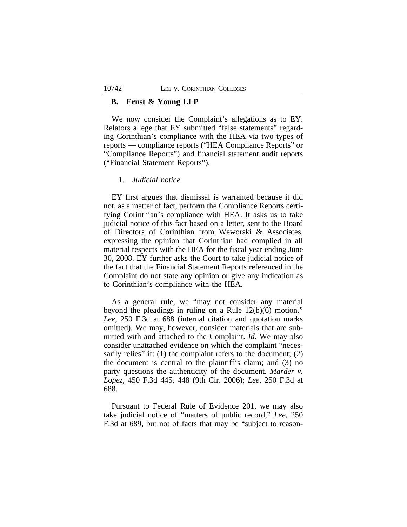## **B. Ernst & Young LLP**

We now consider the Complaint's allegations as to EY. Relators allege that EY submitted "false statements" regarding Corinthian's compliance with the HEA via two types of reports — compliance reports ("HEA Compliance Reports" or "Compliance Reports") and financial statement audit reports ("Financial Statement Reports").

## 1. *Judicial notice*

EY first argues that dismissal is warranted because it did not, as a matter of fact, perform the Compliance Reports certifying Corinthian's compliance with HEA. It asks us to take judicial notice of this fact based on a letter, sent to the Board of Directors of Corinthian from Weworski & Associates, expressing the opinion that Corinthian had complied in all material respects with the HEA for the fiscal year ending June 30, 2008. EY further asks the Court to take judicial notice of the fact that the Financial Statement Reports referenced in the Complaint do not state any opinion or give any indication as to Corinthian's compliance with the HEA.

As a general rule, we "may not consider any material beyond the pleadings in ruling on a Rule 12(b)(6) motion." *Lee*, 250 F.3d at 688 (internal citation and quotation marks omitted). We may, however, consider materials that are submitted with and attached to the Complaint. *Id*. We may also consider unattached evidence on which the complaint "necessarily relies" if: (1) the complaint refers to the document; (2) the document is central to the plaintiff's claim; and (3) no party questions the authenticity of the document. *Marder v. Lopez*, 450 F.3d 445, 448 (9th Cir. 2006); *Lee*, 250 F.3d at 688.

Pursuant to Federal Rule of Evidence 201, we may also take judicial notice of "matters of public record," *Lee*, 250 F.3d at 689, but not of facts that may be "subject to reason-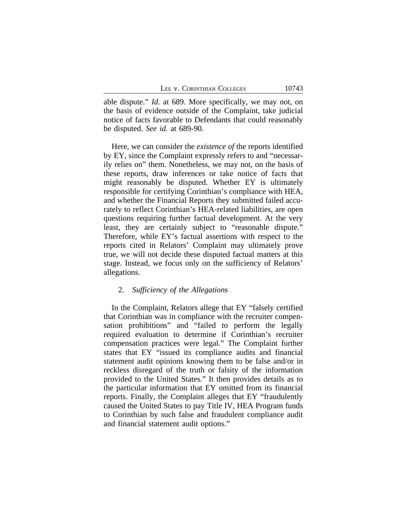able dispute." *Id*. at 689. More specifically, we may not, on the basis of evidence outside of the Complaint, take judicial notice of facts favorable to Defendants that could reasonably be disputed. *See id.* at 689-90.

Here, we can consider the *existence of* the reports identified by EY, since the Complaint expressly refers to and "necessarily relies on" them. Nonetheless, we may not, on the basis of these reports, draw inferences or take notice of facts that might reasonably be disputed. Whether EY is ultimately responsible for certifying Corinthian's compliance with HEA, and whether the Financial Reports they submitted failed accurately to reflect Corinthian's HEA-related liabilities, are open questions requiring further factual development. At the very least, they are certainly subject to "reasonable dispute." Therefore, while EY's factual assertions with respect to the reports cited in Relators' Complaint may ultimately prove true, we will not decide these disputed factual matters at this stage. Instead, we focus only on the sufficiency of Relators' allegations.

## 2. *Sufficiency of the Allegations*

In the Complaint, Relators allege that EY "falsely certified that Corinthian was in compliance with the recruiter compensation prohibitions" and "failed to perform the legally required evaluation to determine if Corinthian's recruiter compensation practices were legal." The Complaint further states that EY "issued its compliance audits and financial statement audit opinions knowing them to be false and/or in reckless disregard of the truth or falsity of the information provided to the United States." It then provides details as to the particular information that EY omitted from its financial reports. Finally, the Complaint alleges that EY "fraudulently caused the United States to pay Title IV, HEA Program funds to Corinthian by such false and fraudulent compliance audit and financial statement audit options."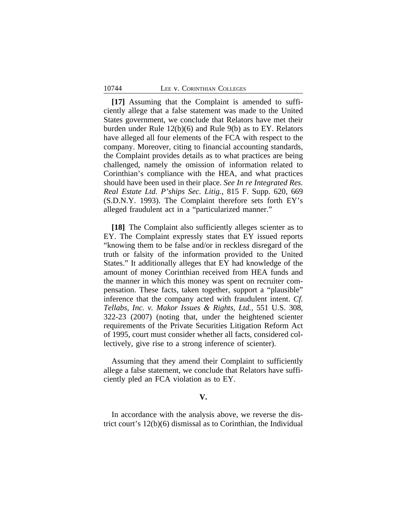#### 10744 LEE v. CORINTHIAN COLLEGES

**[17]** Assuming that the Complaint is amended to sufficiently allege that a false statement was made to the United States government, we conclude that Relators have met their burden under Rule 12(b)(6) and Rule 9(b) as to EY. Relators have alleged all four elements of the FCA with respect to the company. Moreover, citing to financial accounting standards, the Complaint provides details as to what practices are being challenged, namely the omission of information related to Corinthian's compliance with the HEA, and what practices should have been used in their place. *See In re Integrated Res. Real Estate Ltd. P'ships Sec. Litig.*, 815 F. Supp. 620, 669 (S.D.N.Y. 1993). The Complaint therefore sets forth EY's alleged fraudulent act in a "particularized manner."

**[18]** The Complaint also sufficiently alleges scienter as to EY. The Complaint expressly states that EY issued reports "knowing them to be false and/or in reckless disregard of the truth or falsity of the information provided to the United States." It additionally alleges that EY had knowledge of the amount of money Corinthian received from HEA funds and the manner in which this money was spent on recruiter compensation. These facts, taken together, support a "plausible" inference that the company acted with fraudulent intent. *Cf. Tellabs, Inc. v. Makor Issues & Rights, Ltd.*, 551 U.S. 308, 322-23 (2007) (noting that, under the heightened scienter requirements of the Private Securities Litigation Reform Act of 1995, court must consider whether all facts, considered collectively, give rise to a strong inference of scienter).

Assuming that they amend their Complaint to sufficiently allege a false statement, we conclude that Relators have sufficiently pled an FCA violation as to EY.

## **V.**

In accordance with the analysis above, we reverse the district court's 12(b)(6) dismissal as to Corinthian, the Individual